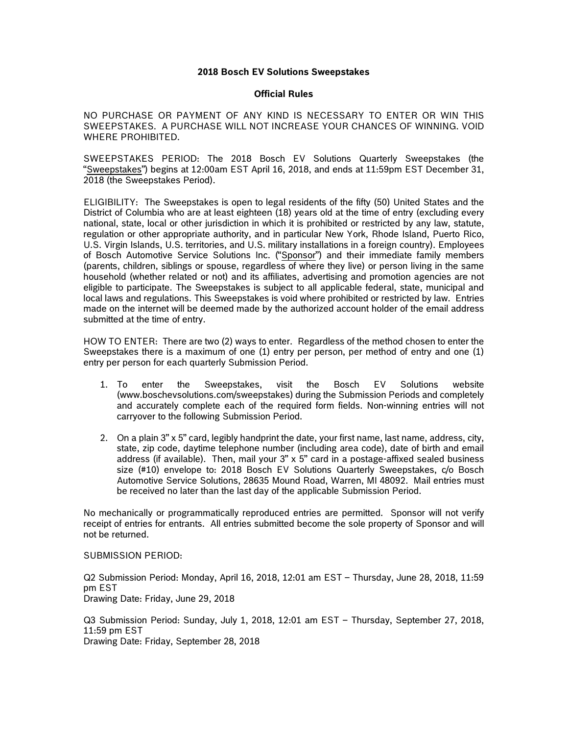## **2018 Bosch EV Solutions Sweepstakes**

## **Official Rules**

NO PURCHASE OR PAYMENT OF ANY KIND IS NECESSARY TO ENTER OR WIN THIS SWEEPSTAKES. A PURCHASE WILL NOT INCREASE YOUR CHANCES OF WINNING. VOID WHERE PROHIBITED.

SWEEPSTAKES PERIOD: The 2018 Bosch EV Solutions Quarterly Sweepstakes (the "Sweepstakes") begins at 12:00am EST April 16, 2018, and ends at 11:59pm EST December 31, 2018 (the Sweepstakes Period).

ELIGIBILITY: The Sweepstakes is open to legal residents of the fifty (50) United States and the District of Columbia who are at least eighteen (18) years old at the time of entry (excluding every national, state, local or other jurisdiction in which it is prohibited or restricted by any law, statute, regulation or other appropriate authority, and in particular New York, Rhode Island, Puerto Rico, U.S. Virgin Islands, U.S. territories, and U.S. military installations in a foreign country). Employees of Bosch Automotive Service Solutions Inc. ("Sponsor") and their immediate family members (parents, children, siblings or spouse, regardless of where they live) or person living in the same household (whether related or not) and its affiliates, advertising and promotion agencies are not eligible to participate. The Sweepstakes is subject to all applicable federal, state, municipal and local laws and regulations. This Sweepstakes is void where prohibited or restricted by law. Entries made on the internet will be deemed made by the authorized account holder of the email address submitted at the time of entry.

HOW TO ENTER: There are two (2) ways to enter. Regardless of the method chosen to enter the Sweepstakes there is a maximum of one (1) entry per person, per method of entry and one (1) entry per person for each quarterly Submission Period.

- 1. To enter the Sweepstakes, visit the Bosch EV Solutions website (www.boschevsolutions.com/sweepstakes) during the Submission Periods and completely and accurately complete each of the required form fields. Non-winning entries will not carryover to the following Submission Period.
- 2. On a plain 3" x 5" card, legibly handprint the date, your first name, last name, address, city, state, zip code, daytime telephone number (including area code), date of birth and email address (if available). Then, mail your 3" x 5" card in a postage-affixed sealed business size (#10) envelope to: 2018 Bosch EV Solutions Quarterly Sweepstakes, c/o Bosch Automotive Service Solutions, 28635 Mound Road, Warren, MI 48092. Mail entries must be received no later than the last day of the applicable Submission Period.

No mechanically or programmatically reproduced entries are permitted. Sponsor will not verify receipt of entries for entrants. All entries submitted become the sole property of Sponsor and will not be returned.

## SUBMISSION PERIOD:

Q2 Submission Period: Monday, April 16, 2018, 12:01 am EST – Thursday, June 28, 2018, 11:59 pm EST Drawing Date: Friday, June 29, 2018

Q3 Submission Period: Sunday, July 1, 2018, 12:01 am EST – Thursday, September 27, 2018, 11:59 pm EST Drawing Date: Friday, September 28, 2018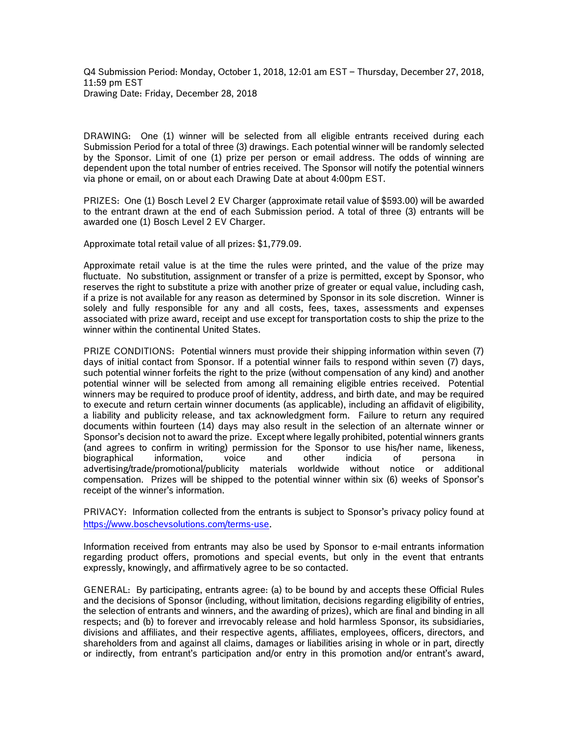DRAWING: One (1) winner will be selected from all eligible entrants received during each Submission Period for a total of three (3) drawings. Each potential winner will be randomly selected by the Sponsor. Limit of one (1) prize per person or email address. The odds of winning are dependent upon the total number of entries received. The Sponsor will notify the potential winners via phone or email, on or about each Drawing Date at about 4:00pm EST.

PRIZES: One (1) Bosch Level 2 EV Charger (approximate retail value of \$593.00) will be awarded to the entrant drawn at the end of each Submission period. A total of three (3) entrants will be awarded one (1) Bosch Level 2 EV Charger.

Approximate total retail value of all prizes: \$1,779.09.

Approximate retail value is at the time the rules were printed, and the value of the prize may fluctuate. No substitution, assignment or transfer of a prize is permitted, except by Sponsor, who reserves the right to substitute a prize with another prize of greater or equal value, including cash, if a prize is not available for any reason as determined by Sponsor in its sole discretion. Winner is solely and fully responsible for any and all costs, fees, taxes, assessments and expenses associated with prize award, receipt and use except for transportation costs to ship the prize to the winner within the continental United States.

PRIZE CONDITIONS: Potential winners must provide their shipping information within seven (7) days of initial contact from Sponsor. If a potential winner fails to respond within seven (7) days, such potential winner forfeits the right to the prize (without compensation of any kind) and another potential winner will be selected from among all remaining eligible entries received. Potential winners may be required to produce proof of identity, address, and birth date, and may be required to execute and return certain winner documents (as applicable), including an affidavit of eligibility, a liability and publicity release, and tax acknowledgment form. Failure to return any required documents within fourteen (14) days may also result in the selection of an alternate winner or Sponsor's decision not to award the prize. Except where legally prohibited, potential winners grants (and agrees to confirm in writing) permission for the Sponsor to use his/her name, likeness, biographical information, voice and other indicia of persona in advertising/trade/promotional/publicity materials worldwide without notice or additional compensation. Prizes will be shipped to the potential winner within six (6) weeks of Sponsor's receipt of the winner's information.

PRIVACY: Information collected from the entrants is subject to Sponsor's privacy policy found at <https://www.boschevsolutions.com/terms-use>.

Information received from entrants may also be used by Sponsor to e-mail entrants information regarding product offers, promotions and special events, but only in the event that entrants expressly, knowingly, and affirmatively agree to be so contacted.

GENERAL: By participating, entrants agree: (a) to be bound by and accepts these Official Rules and the decisions of Sponsor (including, without limitation, decisions regarding eligibility of entries, the selection of entrants and winners, and the awarding of prizes), which are final and binding in all respects; and (b) to forever and irrevocably release and hold harmless Sponsor, its subsidiaries, divisions and affiliates, and their respective agents, affiliates, employees, officers, directors, and shareholders from and against all claims, damages or liabilities arising in whole or in part, directly or indirectly, from entrant's participation and/or entry in this promotion and/or entrant's award,